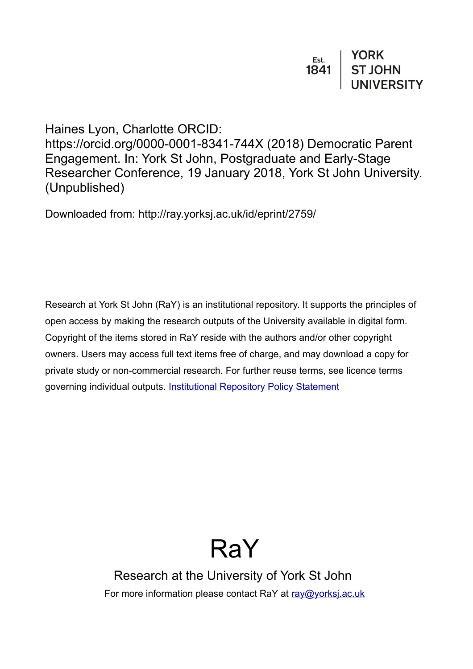| Est.<br>1841 | <b>YORK</b>    |
|--------------|----------------|
|              | <b>ST JOHN</b> |
|              | UNIVERSITY     |

Haines Lyon, Charlotte ORCID: https://orcid.org/0000-0001-8341-744X (2018) Democratic Parent Engagement. In: York St John, Postgraduate and Early-Stage Researcher Conference, 19 January 2018, York St John University. (Unpublished)

Downloaded from: http://ray.yorksj.ac.uk/id/eprint/2759/

Research at York St John (RaY) is an institutional repository. It supports the principles of open access by making the research outputs of the University available in digital form. Copyright of the items stored in RaY reside with the authors and/or other copyright owners. Users may access full text items free of charge, and may download a copy for private study or non-commercial research. For further reuse terms, see licence terms governing individual outputs. [Institutional Repository Policy Statement](https://www.yorksj.ac.uk/ils/repository-policies/)

## RaY

Research at the University of York St John For more information please contact RaY at [ray@yorksj.ac.uk](mailto:ray@yorksj.ac.uk)